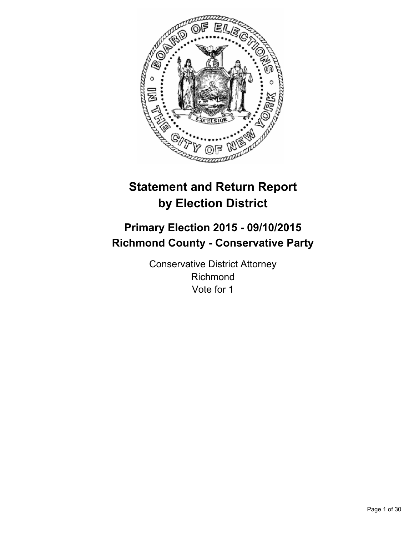

# **Statement and Return Report by Election District**

# **Primary Election 2015 - 09/10/2015 Richmond County - Conservative Party**

Conservative District Attorney Richmond Vote for 1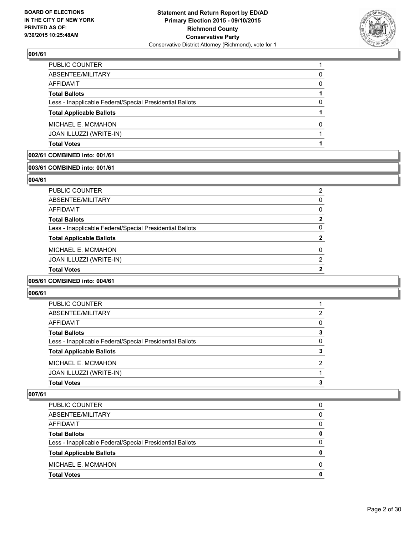

| PUBLIC COUNTER                                           |          |
|----------------------------------------------------------|----------|
| ABSENTEE/MILITARY                                        | 0        |
| AFFIDAVIT                                                | $\Omega$ |
| <b>Total Ballots</b>                                     |          |
| Less - Inapplicable Federal/Special Presidential Ballots | 0        |
| <b>Total Applicable Ballots</b>                          |          |
| MICHAEL E. MCMAHON                                       | 0        |
| JOAN ILLUZZI (WRITE-IN)                                  |          |
| <b>Total Votes</b>                                       |          |
|                                                          |          |

#### **002/61 COMBINED into: 001/61**

#### **003/61 COMBINED into: 001/61**

#### **004/61**

| <b>Total Votes</b>                                       | 2 |
|----------------------------------------------------------|---|
| JOAN ILLUZZI (WRITE-IN)                                  | 2 |
| MICHAEL E. MCMAHON                                       | 0 |
| <b>Total Applicable Ballots</b>                          | 2 |
| Less - Inapplicable Federal/Special Presidential Ballots | 0 |
| <b>Total Ballots</b>                                     | 2 |
| AFFIDAVIT                                                | 0 |
| ABSENTEE/MILITARY                                        | 0 |
| PUBLIC COUNTER                                           | 2 |

#### **005/61 COMBINED into: 004/61**

#### **006/61**

| PUBLIC COUNTER                                           |              |
|----------------------------------------------------------|--------------|
| ABSENTEE/MILITARY                                        | 2            |
| AFFIDAVIT                                                | 0            |
| <b>Total Ballots</b>                                     | 3            |
| Less - Inapplicable Federal/Special Presidential Ballots | $\mathbf{0}$ |
| <b>Total Applicable Ballots</b>                          | 3            |
| MICHAEL E. MCMAHON                                       | 2            |
| JOAN ILLUZZI (WRITE-IN)                                  |              |
| <b>Total Votes</b>                                       | з            |
|                                                          |              |

| 0            |
|--------------|
| 0            |
| 0            |
| 0            |
| 0            |
| 0            |
| <sup>0</sup> |
| O            |
|              |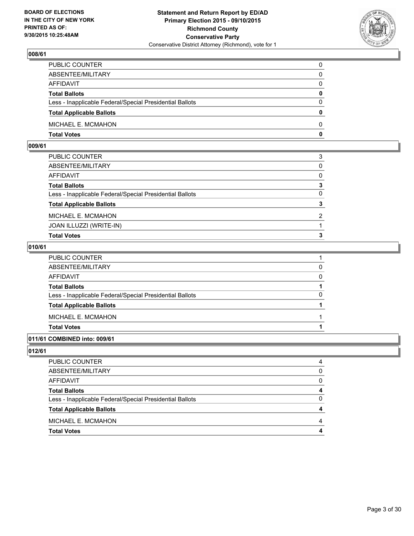

| PUBLIC COUNTER                                           | 0            |
|----------------------------------------------------------|--------------|
| ABSENTEE/MILITARY                                        | $\mathbf{0}$ |
| AFFIDAVIT                                                | 0            |
| Total Ballots                                            | $\mathbf{0}$ |
| Less - Inapplicable Federal/Special Presidential Ballots | $\mathbf{0}$ |
| <b>Total Applicable Ballots</b>                          | $\mathbf{0}$ |
| MICHAEL E. MCMAHON                                       | 0            |
| Total Votes                                              | 0            |

#### **009/61**

| PUBLIC COUNTER                                           | 3 |
|----------------------------------------------------------|---|
| ABSENTEE/MILITARY                                        | 0 |
| AFFIDAVIT                                                | 0 |
| Total Ballots                                            | 3 |
| Less - Inapplicable Federal/Special Presidential Ballots | 0 |
| <b>Total Applicable Ballots</b>                          | 3 |
| MICHAEL E. MCMAHON                                       | 2 |
| JOAN ILLUZZI (WRITE-IN)                                  |   |
| <b>Total Votes</b>                                       | 3 |
|                                                          |   |

#### **010/61**

| Total Votes                                              |              |
|----------------------------------------------------------|--------------|
| MICHAEL E. MCMAHON                                       |              |
| <b>Total Applicable Ballots</b>                          |              |
| Less - Inapplicable Federal/Special Presidential Ballots | 0            |
| Total Ballots                                            |              |
| AFFIDAVIT                                                | $\mathbf{0}$ |
| ABSENTEE/MILITARY                                        | 0            |
| PUBLIC COUNTER                                           |              |
|                                                          |              |

#### **011/61 COMBINED into: 009/61**

| PUBLIC COUNTER                                           |   |
|----------------------------------------------------------|---|
| ABSENTEE/MILITARY                                        | 0 |
| AFFIDAVIT                                                | 0 |
| Total Ballots                                            | 4 |
| Less - Inapplicable Federal/Special Presidential Ballots | 0 |
| <b>Total Applicable Ballots</b>                          |   |
| MICHAEL E. MCMAHON                                       | 4 |
| Total Votes                                              |   |
|                                                          |   |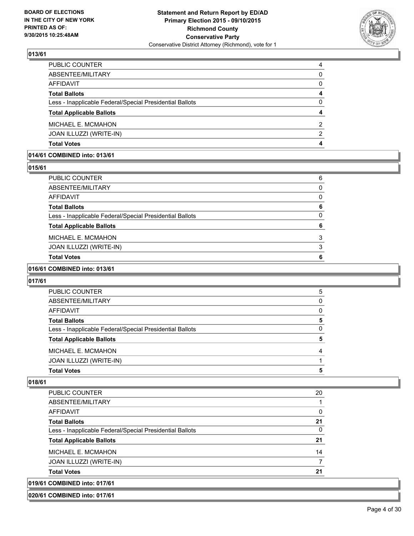

| Total Votes                                              | 4            |
|----------------------------------------------------------|--------------|
| JOAN ILLUZZI (WRITE-IN)                                  | 2            |
| MICHAEL E. MCMAHON                                       | 2            |
| <b>Total Applicable Ballots</b>                          | 4            |
| Less - Inapplicable Federal/Special Presidential Ballots | $\mathbf{0}$ |
| Total Ballots                                            | 4            |
| AFFIDAVIT                                                | $\mathbf{0}$ |
| ABSENTEE/MILITARY                                        | $\mathbf{0}$ |
| PUBLIC COUNTER                                           | 4            |
|                                                          |              |

### **014/61 COMBINED into: 013/61**

**015/61** 

| 6 |
|---|
| 0 |
| 0 |
| 6 |
| 0 |
| 6 |
| 3 |
| 3 |
| 6 |
|   |

### **016/61 COMBINED into: 013/61**

#### **017/61**

| <b>Total Votes</b>                                       | 5        |
|----------------------------------------------------------|----------|
|                                                          |          |
| JOAN ILLUZZI (WRITE-IN)                                  |          |
| MICHAEL E. MCMAHON                                       | 4        |
| <b>Total Applicable Ballots</b>                          | 5        |
| Less - Inapplicable Federal/Special Presidential Ballots | 0        |
| <b>Total Ballots</b>                                     | 5        |
| AFFIDAVIT                                                | 0        |
| ABSENTEE/MILITARY                                        | $\Omega$ |
| <b>PUBLIC COUNTER</b>                                    | 5        |

#### **018/61**

| <b>PUBLIC COUNTER</b>                                    | 20 |
|----------------------------------------------------------|----|
| ABSENTEE/MILITARY                                        |    |
| AFFIDAVIT                                                | 0  |
| <b>Total Ballots</b>                                     | 21 |
| Less - Inapplicable Federal/Special Presidential Ballots | 0  |
| <b>Total Applicable Ballots</b>                          | 21 |
| MICHAEL E. MCMAHON                                       | 14 |
| JOAN ILLUZZI (WRITE-IN)                                  | 7  |
| <b>Total Votes</b>                                       | 21 |
| 019/61 COMBINED into: 017/61                             |    |

#### **020/61 COMBINED into: 017/61**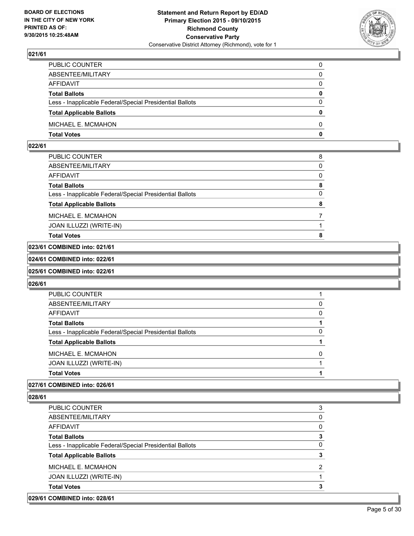

| PUBLIC COUNTER                                           | 0            |
|----------------------------------------------------------|--------------|
| ABSENTEE/MILITARY                                        | $\Omega$     |
| AFFIDAVIT                                                | 0            |
| Total Ballots                                            | $\mathbf{0}$ |
| Less - Inapplicable Federal/Special Presidential Ballots | $\Omega$     |
| <b>Total Applicable Ballots</b>                          | 0            |
| MICHAEL E. MCMAHON                                       | 0            |
| Total Votes                                              | $\mathbf{0}$ |

#### **022/61**

| PUBLIC COUNTER                                           | 8            |
|----------------------------------------------------------|--------------|
| ABSENTEE/MILITARY                                        | 0            |
| AFFIDAVIT                                                | $\mathbf{0}$ |
| <b>Total Ballots</b>                                     | 8            |
| Less - Inapplicable Federal/Special Presidential Ballots | 0            |
| <b>Total Applicable Ballots</b>                          | 8            |
| MICHAEL E. MCMAHON                                       |              |
| JOAN ILLUZZI (WRITE-IN)                                  |              |
| Total Votes                                              | 8            |
|                                                          |              |

#### **023/61 COMBINED into: 021/61**

#### **024/61 COMBINED into: 022/61**

#### **025/61 COMBINED into: 022/61**

**026/61** 

| MICHAEL E. MCMAHON                                       | 0 |
|----------------------------------------------------------|---|
| <b>Total Applicable Ballots</b>                          |   |
| Less - Inapplicable Federal/Special Presidential Ballots | 0 |
| <b>Total Ballots</b>                                     |   |
| AFFIDAVIT                                                | 0 |
| ABSENTEE/MILITARY                                        | 0 |
| <b>PUBLIC COUNTER</b>                                    |   |

#### **027/61 COMBINED into: 026/61**

| 029/61 COMBINED into: 028/61                             |   |
|----------------------------------------------------------|---|
| <b>Total Votes</b>                                       | 3 |
| JOAN ILLUZZI (WRITE-IN)                                  |   |
| MICHAEL E. MCMAHON                                       | 2 |
| <b>Total Applicable Ballots</b>                          | 3 |
| Less - Inapplicable Federal/Special Presidential Ballots | 0 |
| <b>Total Ballots</b>                                     | 3 |
| AFFIDAVIT                                                | 0 |
| ABSENTEE/MILITARY                                        | 0 |
| <b>PUBLIC COUNTER</b>                                    | 3 |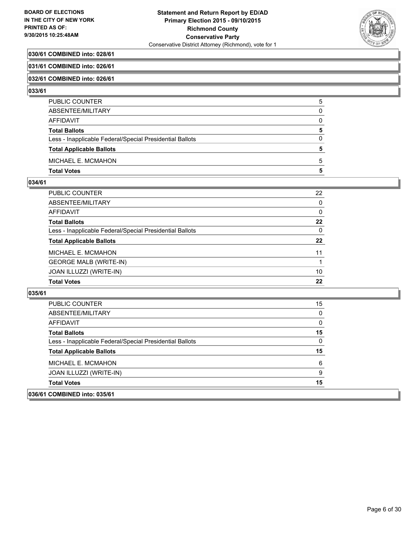

#### **030/61 COMBINED into: 028/61**

#### **031/61 COMBINED into: 026/61**

#### **032/61 COMBINED into: 026/61**

#### **033/61**

| PUBLIC COUNTER                                           | 5 |
|----------------------------------------------------------|---|
| ABSENTEE/MILITARY                                        | 0 |
| AFFIDAVIT                                                | 0 |
| Total Ballots                                            | 5 |
| Less - Inapplicable Federal/Special Presidential Ballots | 0 |
| <b>Total Applicable Ballots</b>                          | 5 |
| MICHAEL E. MCMAHON                                       | 5 |
| Total Votes                                              | 5 |

#### **034/61**

| 22       |
|----------|
| 0        |
| $\Omega$ |
| 22       |
| 0        |
| 22       |
| 11       |
|          |
| 10       |
| 22       |
|          |

| <b>Total Votes</b>                                       | 15 |
|----------------------------------------------------------|----|
| JOAN ILLUZZI (WRITE-IN)                                  | 9  |
| MICHAEL E. MCMAHON                                       | 6  |
| <b>Total Applicable Ballots</b>                          | 15 |
| Less - Inapplicable Federal/Special Presidential Ballots | 0  |
| <b>Total Ballots</b>                                     | 15 |
| <b>AFFIDAVIT</b>                                         | 0  |
| ABSENTEE/MILITARY                                        | 0  |
| <b>PUBLIC COUNTER</b>                                    | 15 |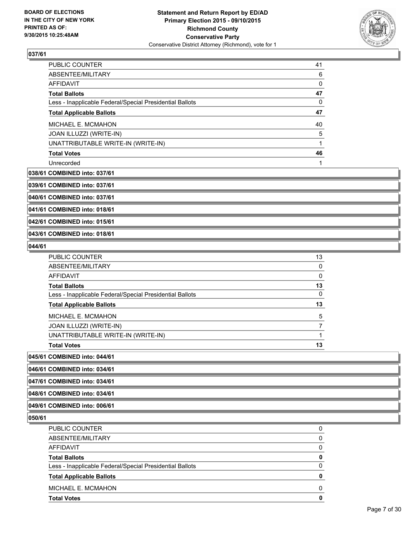

| 41 |
|----|
| 6  |
| 0  |
| 47 |
| 0  |
| 47 |
| 40 |
| 5  |
|    |
| 46 |
|    |
|    |

**038/61 COMBINED into: 037/61**

**039/61 COMBINED into: 037/61**

**040/61 COMBINED into: 037/61**

**041/61 COMBINED into: 018/61**

**042/61 COMBINED into: 015/61**

**043/61 COMBINED into: 018/61**

#### **044/61**

| <b>Total Votes</b>                                       | 13 |
|----------------------------------------------------------|----|
| UNATTRIBUTABLE WRITE-IN (WRITE-IN)                       |    |
| <b>JOAN ILLUZZI (WRITE-IN)</b>                           |    |
| MICHAEL E. MCMAHON                                       | 5  |
| <b>Total Applicable Ballots</b>                          | 13 |
| Less - Inapplicable Federal/Special Presidential Ballots | 0  |
| <b>Total Ballots</b>                                     | 13 |
| AFFIDAVIT                                                | 0  |
| ABSENTEE/MILITARY                                        | 0  |
| PUBLIC COUNTER                                           | 13 |

**045/61 COMBINED into: 044/61**

**046/61 COMBINED into: 034/61**

**047/61 COMBINED into: 034/61**

**048/61 COMBINED into: 034/61**

**049/61 COMBINED into: 006/61**

| <b>Total Votes</b>                                       |   |
|----------------------------------------------------------|---|
| MICHAEL E. MCMAHON                                       | ŋ |
| <b>Total Applicable Ballots</b>                          |   |
| Less - Inapplicable Federal/Special Presidential Ballots | 0 |
| <b>Total Ballots</b>                                     |   |
| <b>AFFIDAVIT</b>                                         | 0 |
| ABSENTEE/MILITARY                                        | 0 |
| PUBLIC COUNTER                                           |   |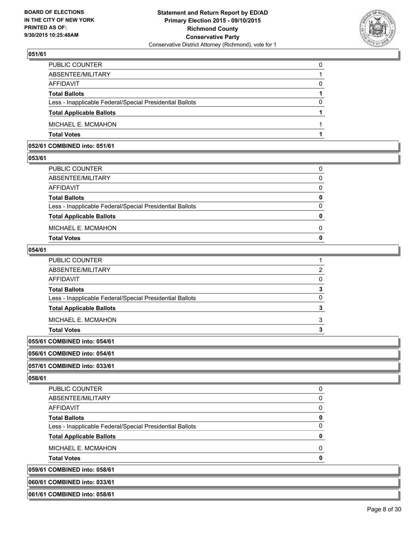

| <b>Total Votes</b>                                       |   |
|----------------------------------------------------------|---|
| MICHAEL E. MCMAHON                                       |   |
| <b>Total Applicable Ballots</b>                          |   |
| Less - Inapplicable Federal/Special Presidential Ballots | 0 |
| <b>Total Ballots</b>                                     |   |
| AFFIDAVIT                                                | 0 |
| ABSENTEE/MILITARY                                        |   |
| PUBLIC COUNTER                                           | 0 |

### **052/61 COMBINED into: 051/61**

#### **053/61**

| PUBLIC COUNTER                                           | 0            |
|----------------------------------------------------------|--------------|
| ABSENTEE/MILITARY                                        | $\mathbf{0}$ |
| AFFIDAVIT                                                | $\Omega$     |
| Total Ballots                                            | 0            |
| Less - Inapplicable Federal/Special Presidential Ballots | $\Omega$     |
| <b>Total Applicable Ballots</b>                          | $\mathbf{0}$ |
| MICHAEL E. MCMAHON                                       | 0            |
| Total Votes                                              | 0            |

#### **054/61**

| 055/61 COMBINED into: 054/61                             |   |
|----------------------------------------------------------|---|
| <b>Total Votes</b>                                       | 3 |
| MICHAEL E. MCMAHON                                       | 3 |
| <b>Total Applicable Ballots</b>                          | 3 |
| Less - Inapplicable Federal/Special Presidential Ballots | 0 |
| <b>Total Ballots</b>                                     | 3 |
| AFFIDAVIT                                                | 0 |
| ABSENTEE/MILITARY                                        | 2 |
| PUBLIC COUNTER                                           |   |

### **056/61 COMBINED into: 054/61**

#### **057/61 COMBINED into: 033/61**

#### **058/61**

| <b>PUBLIC COUNTER</b>                                    |  |
|----------------------------------------------------------|--|
| ABSENTEE/MILITARY                                        |  |
| AFFIDAVIT                                                |  |
| <b>Total Ballots</b>                                     |  |
| Less - Inapplicable Federal/Special Presidential Ballots |  |
| <b>Total Applicable Ballots</b>                          |  |
| MICHAEL E. MCMAHON                                       |  |
| <b>Total Votes</b>                                       |  |
| 059/61 COMBINED into: 058/61                             |  |
| 060/61 COMBINED into: 033/61                             |  |
|                                                          |  |

### **061/61 COMBINED into: 058/61**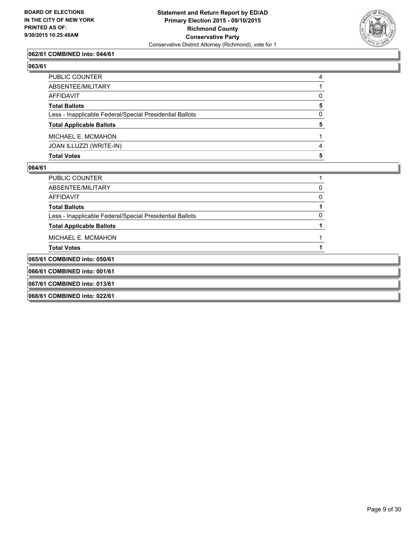

#### **062/61 COMBINED into: 044/61**

| ĥ<br>I<br>ю |
|-------------|
|-------------|

| <b>Total Votes</b>                                       | 5        |
|----------------------------------------------------------|----------|
| JOAN ILLUZZI (WRITE-IN)                                  | 4        |
| MICHAEL E. MCMAHON                                       |          |
| <b>Total Applicable Ballots</b>                          | 5        |
| Less - Inapplicable Federal/Special Presidential Ballots | $\Omega$ |
| <b>Total Ballots</b>                                     | 5        |
| <b>AFFIDAVIT</b>                                         | 0        |
| ABSENTEE/MILITARY                                        |          |
| PUBLIC COUNTER                                           | 4        |

| <b>PUBLIC COUNTER</b>                                    |   |
|----------------------------------------------------------|---|
| ABSENTEE/MILITARY                                        | 0 |
| AFFIDAVIT                                                | 0 |
| <b>Total Ballots</b>                                     |   |
| Less - Inapplicable Federal/Special Presidential Ballots |   |
| <b>Total Applicable Ballots</b>                          |   |
| <b>MICHAEL E. MCMAHON</b>                                |   |
| <b>Total Votes</b>                                       |   |
| 065/61 COMBINED into: 050/61                             |   |
| 066/61 COMBINED into: 001/61                             |   |
| 067/61 COMBINED into: 013/61                             |   |
| 068/61 COMBINED into: 022/61                             |   |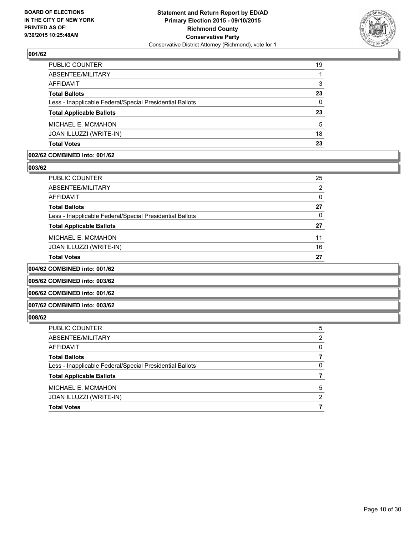

| PUBLIC COUNTER                                           | 19       |
|----------------------------------------------------------|----------|
| ABSENTEE/MILITARY                                        |          |
| AFFIDAVIT                                                | 3        |
| Total Ballots                                            | 23       |
| Less - Inapplicable Federal/Special Presidential Ballots | $\Omega$ |
| <b>Total Applicable Ballots</b>                          | 23       |
| MICHAEL E. MCMAHON                                       | 5        |
| JOAN ILLUZZI (WRITE-IN)                                  | 18       |
| Total Votes                                              | 23       |
|                                                          |          |

#### **002/62 COMBINED into: 001/62**

**003/62** 

| PUBLIC COUNTER                                           | 25 |
|----------------------------------------------------------|----|
| ABSENTEE/MILITARY                                        | 2  |
| AFFIDAVIT                                                | 0  |
| Total Ballots                                            | 27 |
| Less - Inapplicable Federal/Special Presidential Ballots | 0  |
| <b>Total Applicable Ballots</b>                          | 27 |
| MICHAEL E. MCMAHON                                       | 11 |
| JOAN ILLUZZI (WRITE-IN)                                  | 16 |
| Total Votes                                              | 27 |
|                                                          |    |

**004/62 COMBINED into: 001/62**

**005/62 COMBINED into: 003/62**

**006/62 COMBINED into: 001/62**

**007/62 COMBINED into: 003/62**

| <b>PUBLIC COUNTER</b>                                    | 5 |
|----------------------------------------------------------|---|
| ABSENTEE/MILITARY                                        | 2 |
| AFFIDAVIT                                                | 0 |
| <b>Total Ballots</b>                                     |   |
| Less - Inapplicable Federal/Special Presidential Ballots | 0 |
| <b>Total Applicable Ballots</b>                          |   |
| <b>MICHAEL E. MCMAHON</b>                                | 5 |
| JOAN ILLUZZI (WRITE-IN)                                  | 2 |
| <b>Total Votes</b>                                       |   |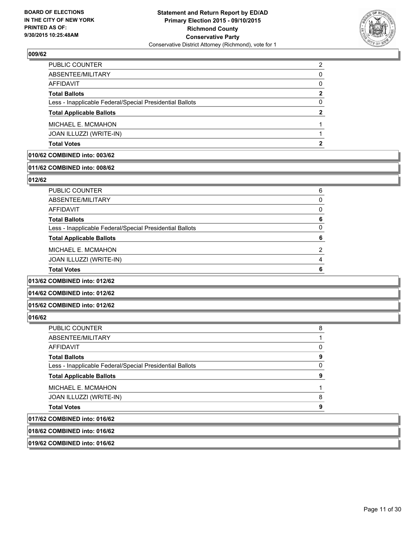

| <b>Total Votes</b>                                       | 2            |
|----------------------------------------------------------|--------------|
| JOAN ILLUZZI (WRITE-IN)                                  |              |
| MICHAEL E. MCMAHON                                       |              |
| <b>Total Applicable Ballots</b>                          | 2            |
| Less - Inapplicable Federal/Special Presidential Ballots | 0            |
| <b>Total Ballots</b>                                     | $\mathbf{2}$ |
| <b>AFFIDAVIT</b>                                         | $\mathbf{0}$ |
| ABSENTEE/MILITARY                                        | $\Omega$     |
| PUBLIC COUNTER                                           | 2            |

#### **010/62 COMBINED into: 003/62**

#### **011/62 COMBINED into: 008/62**

#### **012/62**

| PUBLIC COUNTER                                           | 6 |
|----------------------------------------------------------|---|
| ABSENTEE/MILITARY                                        | 0 |
| AFFIDAVIT                                                | 0 |
| <b>Total Ballots</b>                                     | 6 |
| Less - Inapplicable Federal/Special Presidential Ballots | n |
| <b>Total Applicable Ballots</b>                          |   |
| MICHAEL E. MCMAHON                                       | ົ |
| JOAN ILLUZZI (WRITE-IN)                                  | 4 |
| <b>Total Votes</b>                                       | 6 |
|                                                          |   |

#### **013/62 COMBINED into: 012/62**

**014/62 COMBINED into: 012/62**

#### **015/62 COMBINED into: 012/62**

#### **016/62**

| ABSENTEE/MILITARY                                        |   |
|----------------------------------------------------------|---|
| <b>AFFIDAVIT</b>                                         | 0 |
| <b>Total Ballots</b>                                     | 9 |
| Less - Inapplicable Federal/Special Presidential Ballots | 0 |
| <b>Total Applicable Ballots</b>                          | 9 |
|                                                          |   |
| MICHAEL E. MCMAHON                                       |   |
| JOAN ILLUZZI (WRITE-IN)                                  | 8 |
| <b>Total Votes</b>                                       | 9 |

#### **018/62 COMBINED into: 016/62**

### **019/62 COMBINED into: 016/62**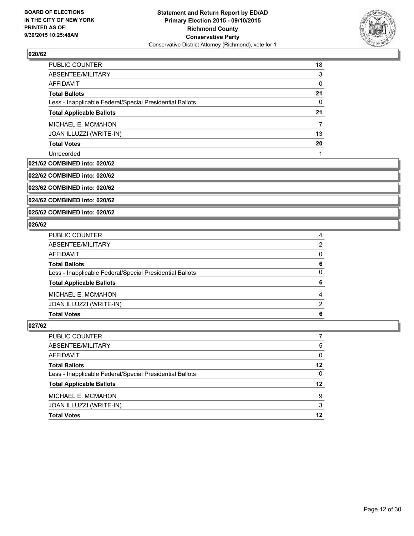

| PUBLIC COUNTER                                           | 18       |
|----------------------------------------------------------|----------|
| ABSENTEE/MILITARY                                        | 3        |
| <b>AFFIDAVIT</b>                                         | $\Omega$ |
| <b>Total Ballots</b>                                     | 21       |
| Less - Inapplicable Federal/Special Presidential Ballots | 0        |
| <b>Total Applicable Ballots</b>                          | 21       |
| MICHAEL E. MCMAHON                                       |          |
| JOAN ILLUZZI (WRITE-IN)                                  | 13       |
| <b>Total Votes</b>                                       | 20       |
| Unrecorded                                               |          |
|                                                          |          |

#### **021/62 COMBINED into: 020/62**

#### **022/62 COMBINED into: 020/62**

**023/62 COMBINED into: 020/62**

**024/62 COMBINED into: 020/62**

**025/62 COMBINED into: 020/62**

#### **026/62**

| PUBLIC COUNTER                                           | 4            |
|----------------------------------------------------------|--------------|
| ABSENTEE/MILITARY                                        | 2            |
| AFFIDAVIT                                                | $\mathbf{0}$ |
| Total Ballots                                            | 6            |
| Less - Inapplicable Federal/Special Presidential Ballots | $\mathbf{0}$ |
| <b>Total Applicable Ballots</b>                          | 6            |
| MICHAEL E. MCMAHON                                       | 4            |
| JOAN ILLUZZI (WRITE-IN)                                  | 2            |
| Total Votes                                              | 6            |
|                                                          |              |

| PUBLIC COUNTER                                           |          |
|----------------------------------------------------------|----------|
| ABSENTEE/MILITARY                                        | 5        |
| AFFIDAVIT                                                | 0        |
| Total Ballots                                            | 12       |
| Less - Inapplicable Federal/Special Presidential Ballots | $\Omega$ |
| <b>Total Applicable Ballots</b>                          | $12 \,$  |
| MICHAEL E. MCMAHON                                       | 9        |
| JOAN ILLUZZI (WRITE-IN)                                  | 3        |
| <b>Total Votes</b>                                       | 12       |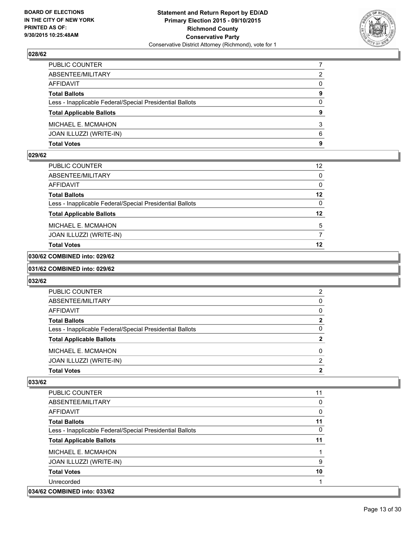

| PUBLIC COUNTER                                           |              |
|----------------------------------------------------------|--------------|
| ABSENTEE/MILITARY                                        | 2            |
| AFFIDAVIT                                                | $\mathbf{0}$ |
| Total Ballots                                            | 9            |
| Less - Inapplicable Federal/Special Presidential Ballots | $\Omega$     |
| <b>Total Applicable Ballots</b>                          | 9            |
| MICHAEL E. MCMAHON                                       | 3            |
| JOAN ILLUZZI (WRITE-IN)                                  | 6            |
| Total Votes                                              | 9            |

#### **029/62**

| PUBLIC COUNTER                                           | 12 |
|----------------------------------------------------------|----|
| ABSENTEE/MILITARY                                        | 0  |
| AFFIDAVIT                                                | 0  |
| <b>Total Ballots</b>                                     | 12 |
| Less - Inapplicable Federal/Special Presidential Ballots | 0  |
| <b>Total Applicable Ballots</b>                          | 12 |
| MICHAEL E. MCMAHON                                       | 5  |
| JOAN ILLUZZI (WRITE-IN)                                  |    |
| <b>Total Votes</b>                                       | 12 |

#### **030/62 COMBINED into: 029/62**

#### **031/62 COMBINED into: 029/62**

#### **032/62**

| <b>Total Votes</b>                                       | 2              |
|----------------------------------------------------------|----------------|
|                                                          |                |
| JOAN ILLUZZI (WRITE-IN)                                  | 2              |
| MICHAEL E. MCMAHON                                       | 0              |
| <b>Total Applicable Ballots</b>                          | $\mathbf{2}$   |
| Less - Inapplicable Federal/Special Presidential Ballots | 0              |
| <b>Total Ballots</b>                                     | $\overline{2}$ |
| AFFIDAVIT                                                | 0              |
| ABSENTEE/MILITARY                                        | 0              |
| PUBLIC COUNTER                                           | 2              |

| <b>PUBLIC COUNTER</b>                                    | 11       |
|----------------------------------------------------------|----------|
| ABSENTEE/MILITARY                                        | 0        |
| <b>AFFIDAVIT</b>                                         | 0        |
| <b>Total Ballots</b>                                     | 11       |
| Less - Inapplicable Federal/Special Presidential Ballots | $\Omega$ |
| <b>Total Applicable Ballots</b>                          | 11       |
| MICHAEL E. MCMAHON                                       |          |
| JOAN ILLUZZI (WRITE-IN)                                  | 9        |
| <b>Total Votes</b>                                       | 10       |
| Unrecorded                                               |          |
| 034/62 COMBINED into: 033/62                             |          |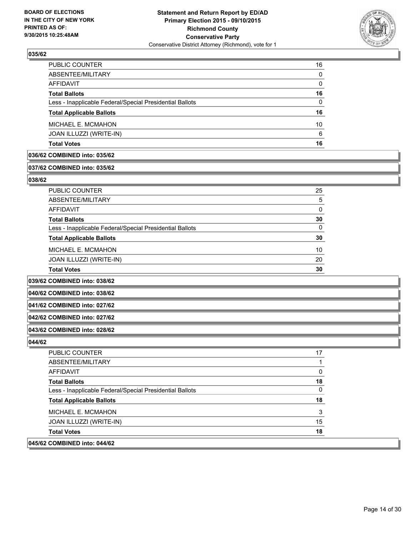

| <b>Total Votes</b>                                       | 16           |
|----------------------------------------------------------|--------------|
| JOAN ILLUZZI (WRITE-IN)                                  | 6            |
| MICHAEL E. MCMAHON                                       | 10           |
| <b>Total Applicable Ballots</b>                          | 16           |
| Less - Inapplicable Federal/Special Presidential Ballots | $\Omega$     |
| <b>Total Ballots</b>                                     | 16           |
| <b>AFFIDAVIT</b>                                         | $\mathbf{0}$ |
| ABSENTEE/MILITARY                                        | $\Omega$     |
| PUBLIC COUNTER                                           | 16           |

#### **036/62 COMBINED into: 035/62**

#### **037/62 COMBINED into: 035/62**

#### **038/62**

| <b>PUBLIC COUNTER</b>                                    | 25 |
|----------------------------------------------------------|----|
| ABSENTEE/MILITARY                                        | 5  |
| AFFIDAVIT                                                | 0  |
| <b>Total Ballots</b>                                     | 30 |
| Less - Inapplicable Federal/Special Presidential Ballots |    |
| <b>Total Applicable Ballots</b>                          | 30 |
| MICHAEL E. MCMAHON                                       | 10 |
| JOAN ILLUZZI (WRITE-IN)                                  | 20 |
| <b>Total Votes</b>                                       | 30 |

**039/62 COMBINED into: 038/62**

**040/62 COMBINED into: 038/62**

**041/62 COMBINED into: 027/62**

#### **042/62 COMBINED into: 027/62**

**043/62 COMBINED into: 028/62**

#### **044/62**

 $|045/62$ 

| <b>PUBLIC COUNTER</b>                                    | 17 |
|----------------------------------------------------------|----|
| ABSENTEE/MILITARY                                        |    |
| <b>AFFIDAVIT</b>                                         | 0  |
| <b>Total Ballots</b>                                     | 18 |
| Less - Inapplicable Federal/Special Presidential Ballots | 0  |
| <b>Total Applicable Ballots</b>                          | 18 |
| MICHAEL E. MCMAHON                                       | 3  |
| <b>JOAN ILLUZZI (WRITE-IN)</b>                           | 15 |
| <b>Total Votes</b>                                       | 18 |
| <b>COMBINED into: 044/62</b>                             |    |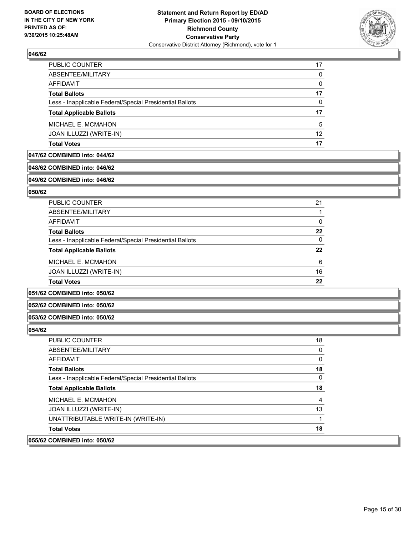

| <b>Total Votes</b>                                       | 17       |
|----------------------------------------------------------|----------|
| JOAN ILLUZZI (WRITE-IN)                                  | 12       |
| MICHAEL E. MCMAHON                                       | 5        |
| <b>Total Applicable Ballots</b>                          | 17       |
| Less - Inapplicable Federal/Special Presidential Ballots | $\Omega$ |
| <b>Total Ballots</b>                                     | 17       |
| AFFIDAVIT                                                | $\Omega$ |
| ABSENTEE/MILITARY                                        | 0        |
| PUBLIC COUNTER                                           | 17       |

### **047/62 COMBINED into: 044/62**

#### **048/62 COMBINED into: 046/62**

#### **049/62 COMBINED into: 046/62**

#### **050/62**

| <b>PUBLIC COUNTER</b>                                    | 21 |
|----------------------------------------------------------|----|
| ABSENTEE/MILITARY                                        |    |
| AFFIDAVIT                                                | 0  |
| <b>Total Ballots</b>                                     | 22 |
| Less - Inapplicable Federal/Special Presidential Ballots | 0  |
| <b>Total Applicable Ballots</b>                          | 22 |
| MICHAEL E. MCMAHON                                       | 6  |
| JOAN ILLUZZI (WRITE-IN)                                  | 16 |
| <b>Total Votes</b>                                       | 22 |
|                                                          |    |

#### **051/62 COMBINED into: 050/62**

#### **052/62 COMBINED into: 050/62**

#### **053/62 COMBINED into: 050/62**

| 055/62 COMBINED into: 050/62                             |    |
|----------------------------------------------------------|----|
| <b>Total Votes</b>                                       | 18 |
| UNATTRIBUTABLE WRITE-IN (WRITE-IN)                       |    |
| JOAN ILLUZZI (WRITE-IN)                                  | 13 |
| MICHAEL E. MCMAHON                                       | 4  |
| <b>Total Applicable Ballots</b>                          | 18 |
| Less - Inapplicable Federal/Special Presidential Ballots | 0  |
| <b>Total Ballots</b>                                     | 18 |
| <b>AFFIDAVIT</b>                                         | 0  |
| ABSENTEE/MILITARY                                        | 0  |
| PUBLIC COUNTER                                           | 18 |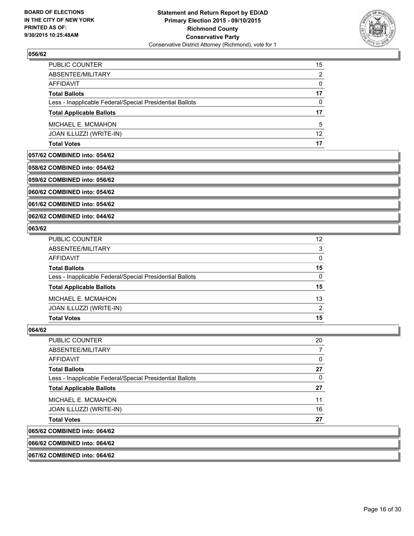

| <b>Total Votes</b>                                       | 17 |
|----------------------------------------------------------|----|
| JOAN ILLUZZI (WRITE-IN)                                  | 12 |
| MICHAEL E. MCMAHON                                       | 5  |
| <b>Total Applicable Ballots</b>                          | 17 |
| Less - Inapplicable Federal/Special Presidential Ballots | 0  |
| <b>Total Ballots</b>                                     | 17 |
| AFFIDAVIT                                                | 0  |
| ABSENTEE/MILITARY                                        | 2  |
| PUBLIC COUNTER                                           | 15 |

**057/62 COMBINED into: 054/62**

**058/62 COMBINED into: 054/62**

**059/62 COMBINED into: 056/62**

**060/62 COMBINED into: 054/62**

**061/62 COMBINED into: 054/62**

**062/62 COMBINED into: 044/62**

#### **063/62**

| <b>Total Ballots</b>                                     | 15           |
|----------------------------------------------------------|--------------|
| Less - Inapplicable Federal/Special Presidential Ballots | $\mathbf{0}$ |
| <b>Total Applicable Ballots</b>                          | 15           |
|                                                          |              |
| MICHAEL E. MCMAHON                                       | 13           |
|                                                          |              |
| JOAN ILLUZZI (WRITE-IN)                                  |              |
| <b>Total Votes</b>                                       | 2<br>15      |

#### **064/62**

| 065/62 COMBINED into: 064/62                             |    |
|----------------------------------------------------------|----|
| <b>Total Votes</b>                                       | 27 |
| JOAN ILLUZZI (WRITE-IN)                                  | 16 |
| MICHAEL E. MCMAHON                                       | 11 |
| <b>Total Applicable Ballots</b>                          | 27 |
| Less - Inapplicable Federal/Special Presidential Ballots | 0  |
| <b>Total Ballots</b>                                     | 27 |
| AFFIDAVIT                                                | 0  |
| ABSENTEE/MILITARY                                        | 7  |
| <b>PUBLIC COUNTER</b>                                    | 20 |

### **066/62 COMBINED into: 064/62**

**067/62 COMBINED into: 064/62**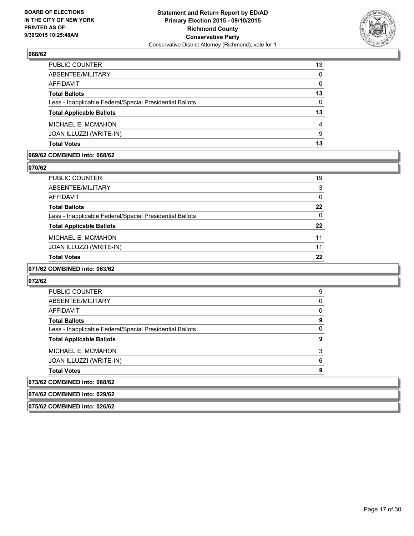

| PUBLIC COUNTER                                           | 13           |
|----------------------------------------------------------|--------------|
| ABSENTEE/MILITARY                                        | $\mathbf{0}$ |
| AFFIDAVIT                                                | $\Omega$     |
| Total Ballots                                            | 13           |
| Less - Inapplicable Federal/Special Presidential Ballots | $\Omega$     |
| <b>Total Applicable Ballots</b>                          | 13           |
| MICHAEL E. MCMAHON                                       | 4            |
| JOAN ILLUZZI (WRITE-IN)                                  | 9            |
| Total Votes                                              | 13           |
|                                                          |              |

#### **069/62 COMBINED into: 068/62**

**070/62** 

| PUBLIC COUNTER                                           | 19      |
|----------------------------------------------------------|---------|
| ABSENTEE/MILITARY                                        | 3       |
| AFFIDAVIT                                                | 0       |
| Total Ballots                                            | 22      |
| Less - Inapplicable Federal/Special Presidential Ballots | 0       |
| <b>Total Applicable Ballots</b>                          | $22 \,$ |
| MICHAEL E. MCMAHON                                       | 11      |
| JOAN ILLUZZI (WRITE-IN)                                  | 11      |
| Total Votes                                              | 22      |
|                                                          |         |

#### **071/62 COMBINED into: 063/62**

| 075/62 COMBINED into: 026/62                             |   |
|----------------------------------------------------------|---|
| 074/62 COMBINED into: 029/62                             |   |
| 073/62 COMBINED into: 068/62                             |   |
| <b>Total Votes</b>                                       | 9 |
| JOAN ILLUZZI (WRITE-IN)                                  | 6 |
| <b>MICHAEL E. MCMAHON</b>                                | 3 |
| <b>Total Applicable Ballots</b>                          | 9 |
| Less - Inapplicable Federal/Special Presidential Ballots |   |
| <b>Total Ballots</b>                                     | 9 |
| AFFIDAVIT                                                |   |
| ABSENTEE/MILITARY                                        |   |
| <b>PUBLIC COUNTER</b>                                    | 9 |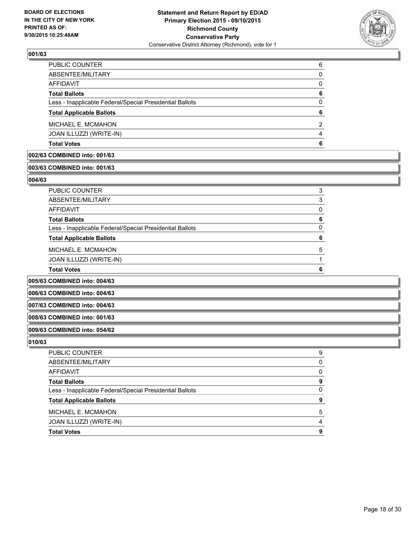

| <b>Total Votes</b>                                       | 6            |
|----------------------------------------------------------|--------------|
| JOAN ILLUZZI (WRITE-IN)                                  | 4            |
| MICHAEL E. MCMAHON                                       | 2            |
| <b>Total Applicable Ballots</b>                          | 6            |
| Less - Inapplicable Federal/Special Presidential Ballots | 0            |
| <b>Total Ballots</b>                                     | 6            |
| <b>AFFIDAVIT</b>                                         | $\mathbf{0}$ |
| ABSENTEE/MILITARY                                        | $\Omega$     |
| PUBLIC COUNTER                                           | 6            |

#### **002/63 COMBINED into: 001/63**

#### **003/63 COMBINED into: 001/63**

#### **004/63**

| PUBLIC COUNTER                                           | 3 |
|----------------------------------------------------------|---|
| ABSENTEE/MILITARY                                        | 3 |
| AFFIDAVIT                                                |   |
| <b>Total Ballots</b>                                     |   |
| Less - Inapplicable Federal/Special Presidential Ballots |   |
| <b>Total Applicable Ballots</b>                          |   |
| MICHAEL E. MCMAHON                                       | 5 |
| <b>JOAN ILLUZZI (WRITE-IN)</b>                           |   |
| <b>Total Votes</b>                                       |   |

**005/63 COMBINED into: 004/63**

**006/63 COMBINED into: 004/63**

**007/63 COMBINED into: 004/63**

#### **008/63 COMBINED into: 001/63**

#### **009/63 COMBINED into: 054/62**

| <b>Total Votes</b>                                       | 9 |
|----------------------------------------------------------|---|
| JOAN ILLUZZI (WRITE-IN)                                  | 4 |
| MICHAEL E. MCMAHON                                       | 5 |
| <b>Total Applicable Ballots</b>                          | 9 |
| Less - Inapplicable Federal/Special Presidential Ballots | 0 |
| <b>Total Ballots</b>                                     | 9 |
| AFFIDAVIT                                                | 0 |
| ABSENTEE/MILITARY                                        | 0 |
| PUBLIC COUNTER                                           | 9 |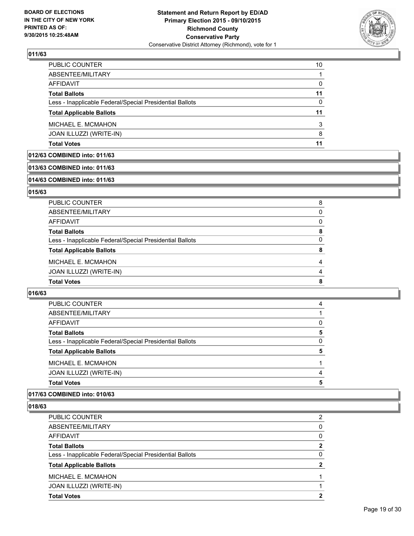

| <b>Total Votes</b>                                       | 11           |
|----------------------------------------------------------|--------------|
| <b>JOAN ILLUZZI (WRITE-IN)</b>                           | 8            |
| MICHAEL E. MCMAHON                                       | 3            |
| <b>Total Applicable Ballots</b>                          | 11           |
| Less - Inapplicable Federal/Special Presidential Ballots | $\mathbf{0}$ |
| <b>Total Ballots</b>                                     | 11           |
| AFFIDAVIT                                                | 0            |
| ABSENTEE/MILITARY                                        |              |
| PUBLIC COUNTER                                           | 10           |

### **012/63 COMBINED into: 011/63**

#### **013/63 COMBINED into: 011/63**

#### **014/63 COMBINED into: 011/63**

#### **015/63**

| PUBLIC COUNTER                                           | 8 |
|----------------------------------------------------------|---|
| ABSENTEE/MILITARY                                        | 0 |
| <b>AFFIDAVIT</b>                                         | 0 |
| <b>Total Ballots</b>                                     | 8 |
| Less - Inapplicable Federal/Special Presidential Ballots | 0 |
| <b>Total Applicable Ballots</b>                          | 8 |
| MICHAEL E. MCMAHON                                       | 4 |
| <b>JOAN ILLUZZI (WRITE-IN)</b>                           | 4 |
| <b>Total Votes</b>                                       | 8 |

#### **016/63**

| <b>PUBLIC COUNTER</b>                                    | 4 |
|----------------------------------------------------------|---|
| ABSENTEE/MILITARY                                        |   |
| AFFIDAVIT                                                | 0 |
| <b>Total Ballots</b>                                     | 5 |
| Less - Inapplicable Federal/Special Presidential Ballots | 0 |
| <b>Total Applicable Ballots</b>                          | 5 |
| MICHAEL E. MCMAHON                                       |   |
| JOAN ILLUZZI (WRITE-IN)                                  | 4 |
| <b>Total Votes</b>                                       | 5 |
|                                                          |   |

#### **017/63 COMBINED into: 010/63**

| PUBLIC COUNTER                                           | 2 |
|----------------------------------------------------------|---|
| ABSENTEE/MILITARY                                        | 0 |
| AFFIDAVIT                                                | 0 |
| <b>Total Ballots</b>                                     | 2 |
| Less - Inapplicable Federal/Special Presidential Ballots | 0 |
| <b>Total Applicable Ballots</b>                          | າ |
| MICHAEL E. MCMAHON                                       |   |
| JOAN ILLUZZI (WRITE-IN)                                  |   |
| <b>Total Votes</b>                                       |   |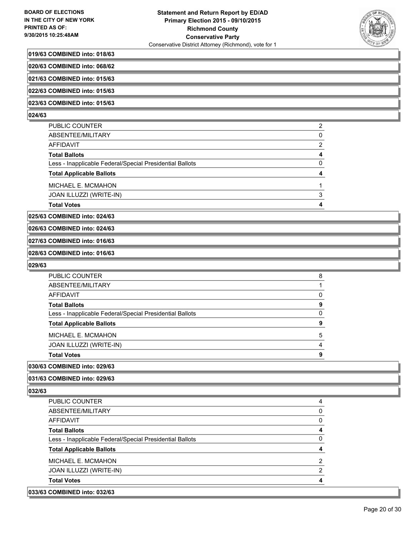

#### **019/63 COMBINED into: 018/63**

**020/63 COMBINED into: 068/62**

**021/63 COMBINED into: 015/63**

**022/63 COMBINED into: 015/63**

**023/63 COMBINED into: 015/63**

#### **024/63**

| <b>PUBLIC COUNTER</b>                                    | 2 |
|----------------------------------------------------------|---|
| ABSENTEE/MILITARY                                        | 0 |
| AFFIDAVIT                                                | 2 |
| <b>Total Ballots</b>                                     | 4 |
| Less - Inapplicable Federal/Special Presidential Ballots | 0 |
| <b>Total Applicable Ballots</b>                          |   |
| MICHAEL E. MCMAHON                                       |   |
| JOAN ILLUZZI (WRITE-IN)                                  | 3 |
| <b>Total Votes</b>                                       | 4 |

**025/63 COMBINED into: 024/63**

**026/63 COMBINED into: 024/63**

**027/63 COMBINED into: 016/63**

#### **028/63 COMBINED into: 016/63**

**029/63** 

| <b>PUBLIC COUNTER</b>                                    | я |
|----------------------------------------------------------|---|
| ABSENTEE/MILITARY                                        |   |
| AFFIDAVIT                                                |   |
| <b>Total Ballots</b>                                     | 9 |
| Less - Inapplicable Federal/Special Presidential Ballots |   |
| <b>Total Applicable Ballots</b>                          | q |
| MICHAEL E. MCMAHON                                       | 5 |
| JOAN ILLUZZI (WRITE-IN)                                  |   |
| <b>Total Votes</b>                                       | o |

### **030/63 COMBINED into: 029/63**

**031/63 COMBINED into: 029/63**

| 033/63 COMBINED into: 032/63                             |   |
|----------------------------------------------------------|---|
| <b>Total Votes</b>                                       | 4 |
| JOAN ILLUZZI (WRITE-IN)                                  | 2 |
| MICHAEL E. MCMAHON                                       | 2 |
| <b>Total Applicable Ballots</b>                          | 4 |
| Less - Inapplicable Federal/Special Presidential Ballots | 0 |
| <b>Total Ballots</b>                                     | 4 |
| <b>AFFIDAVIT</b>                                         | 0 |
| ABSENTEE/MILITARY                                        | 0 |
| <b>PUBLIC COUNTER</b>                                    | 4 |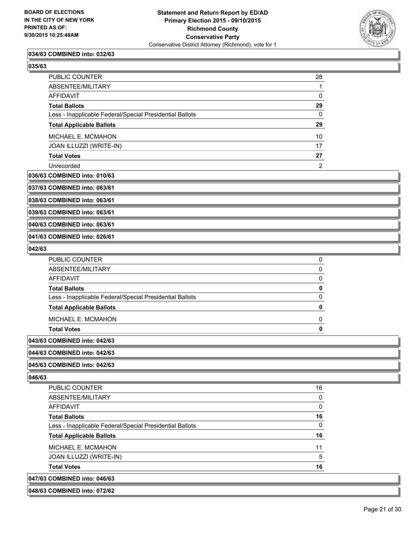

#### **034/63 COMBINED into: 032/63**

| E.<br>nz<br>ס וכי. |
|--------------------|
|--------------------|

| PUBLIC COUNTER                                           | 28 |
|----------------------------------------------------------|----|
| ABSENTEE/MILITARY                                        |    |
| AFFIDAVIT                                                | 0  |
| <b>Total Ballots</b>                                     | 29 |
| Less - Inapplicable Federal/Special Presidential Ballots | 0  |
| <b>Total Applicable Ballots</b>                          | 29 |
| MICHAEL E. MCMAHON                                       | 10 |
| JOAN ILLUZZI (WRITE-IN)                                  | 17 |
|                                                          |    |
| <b>Total Votes</b>                                       | 27 |

#### **036/63 COMBINED into: 010/63**

**037/63 COMBINED into: 063/61**

**038/63 COMBINED into: 063/61**

**039/63 COMBINED into: 063/61**

**040/63 COMBINED into: 063/61**

**041/63 COMBINED into: 026/61**

#### **042/63**

| <b>Total Votes</b>                                       | o |
|----------------------------------------------------------|---|
| <b>MICHAEL E. MCMAHON</b>                                | O |
| <b>Total Applicable Ballots</b>                          | 0 |
| Less - Inapplicable Federal/Special Presidential Ballots | 0 |
| <b>Total Ballots</b>                                     | 0 |
| <b>AFFIDAVIT</b>                                         | 0 |
| ABSENTEE/MILITARY                                        | 0 |
| PUBLIC COUNTER                                           | 0 |

#### **043/63 COMBINED into: 042/63**

#### **044/63 COMBINED into: 042/63**

#### **045/63 COMBINED into: 042/63**

| 048/63 COMBINED into: 072/62                             |    |
|----------------------------------------------------------|----|
| 047/63 COMBINED into: 046/63                             |    |
| <b>Total Votes</b>                                       | 16 |
| JOAN ILLUZZI (WRITE-IN)                                  | 5  |
| MICHAEL E. MCMAHON                                       | 11 |
| <b>Total Applicable Ballots</b>                          | 16 |
| Less - Inapplicable Federal/Special Presidential Ballots | 0  |
| <b>Total Ballots</b>                                     | 16 |
| <b>AFFIDAVIT</b>                                         | 0  |
| ABSENTEE/MILITARY                                        | 0  |
| <b>PUBLIC COUNTER</b>                                    | 16 |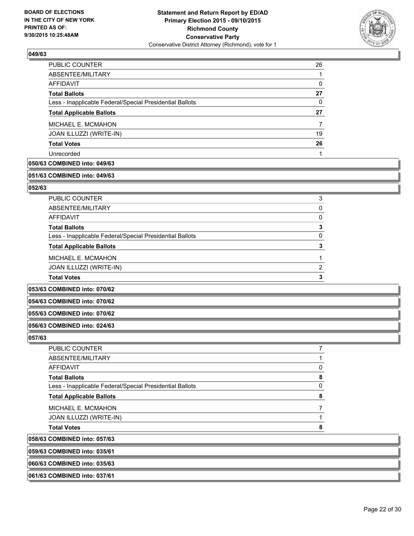

| <b>PUBLIC COUNTER</b>                                    | 26 |
|----------------------------------------------------------|----|
| ABSENTEE/MILITARY                                        |    |
| AFFIDAVIT                                                | 0  |
| <b>Total Ballots</b>                                     | 27 |
| Less - Inapplicable Federal/Special Presidential Ballots | 0  |
| <b>Total Applicable Ballots</b>                          | 27 |
| MICHAEL E. MCMAHON                                       | 7  |
| JOAN ILLUZZI (WRITE-IN)                                  | 19 |
| <b>Total Votes</b>                                       | 26 |
| Unrecorded                                               |    |

### **050/63 COMBINED into: 049/63**

#### **051/63 COMBINED into: 049/63**

**052/63** 

| <b>Total Votes</b>                                       |   |
|----------------------------------------------------------|---|
| JOAN ILLUZZI (WRITE-IN)                                  | າ |
| MICHAEL E. MCMAHON                                       |   |
| <b>Total Applicable Ballots</b>                          |   |
| Less - Inapplicable Federal/Special Presidential Ballots | 0 |
| <b>Total Ballots</b>                                     | 3 |
| <b>AFFIDAVIT</b>                                         | 0 |
| ABSENTEE/MILITARY                                        | 0 |
| PUBLIC COUNTER                                           | 3 |

**053/63 COMBINED into: 070/62**

**054/63 COMBINED into: 070/62**

**055/63 COMBINED into: 070/62**

#### **056/63 COMBINED into: 024/63**

#### **057/63**

| PUBLIC COUNTER<br>ABSENTEE/MILITARY                      |   |
|----------------------------------------------------------|---|
|                                                          |   |
| AFFIDAVIT                                                |   |
| <b>Total Ballots</b>                                     | 8 |
| Less - Inapplicable Federal/Special Presidential Ballots |   |
| <b>Total Applicable Ballots</b>                          | 8 |
| MICHAEL E. MCMAHON                                       |   |
| <b>JOAN ILLUZZI (WRITE-IN)</b>                           |   |
| <b>Total Votes</b>                                       | 8 |
| 058/63 COMBINED into: 057/63                             |   |
| 059/63 COMBINED into: 035/61                             |   |

059/63

**060/63 COMBINED into: 035/63**

**061/63 COMBINED into: 037/61**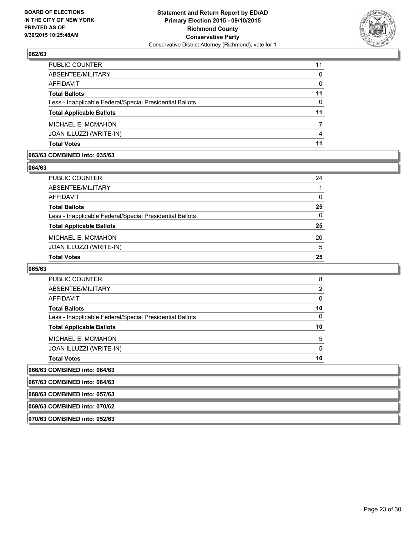

| PUBLIC COUNTER                                           | 11             |
|----------------------------------------------------------|----------------|
| ABSENTEE/MILITARY                                        | $\Omega$       |
| AFFIDAVIT                                                | $\mathbf{0}$   |
| Total Ballots                                            | 11             |
| Less - Inapplicable Federal/Special Presidential Ballots | $\mathbf{0}$   |
| <b>Total Applicable Ballots</b>                          | 11             |
| MICHAEL E. MCMAHON                                       |                |
| JOAN ILLUZZI (WRITE-IN)                                  | $\overline{4}$ |
| Total Votes                                              | 11             |
|                                                          |                |

#### **063/63 COMBINED into: 035/63**

**064/63** 

| PUBLIC COUNTER                                           | 24 |
|----------------------------------------------------------|----|
| ABSENTEE/MILITARY                                        | 1  |
| AFFIDAVIT                                                | 0  |
| Total Ballots                                            | 25 |
| Less - Inapplicable Federal/Special Presidential Ballots | 0  |
| <b>Total Applicable Ballots</b>                          | 25 |
| MICHAEL E. MCMAHON                                       | 20 |
| JOAN ILLUZZI (WRITE-IN)                                  | 5  |
| Total Votes                                              | 25 |
|                                                          |    |

#### **065/63**

| PUBLIC COUNTER                                           | 8  |
|----------------------------------------------------------|----|
| ABSENTEE/MILITARY                                        | 2  |
| AFFIDAVIT                                                | 0  |
| <b>Total Ballots</b>                                     | 10 |
| Less - Inapplicable Federal/Special Presidential Ballots | 0  |
| <b>Total Applicable Ballots</b>                          | 10 |
| MICHAEL E. MCMAHON                                       | 5  |
| JOAN ILLUZZI (WRITE-IN)                                  | 5  |
| <b>Total Votes</b>                                       | 10 |
| 2 COMRINED into: 064/62                                  |    |

## **066/63 COMBINED into: 064/63 067/63 COMBINED into: 064/63 068/63 COMBINED into: 057/63 069/63 COMBINED into: 070/62 070/63 COMBINED into: 052/63**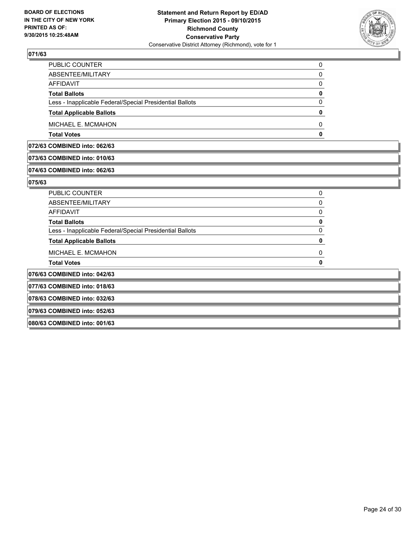

| <b>Total Votes</b>                                       | O        |
|----------------------------------------------------------|----------|
| MICHAEL E. MCMAHON                                       | 0        |
| <b>Total Applicable Ballots</b>                          | 0        |
| Less - Inapplicable Federal/Special Presidential Ballots | $\Omega$ |
| <b>Total Ballots</b>                                     | 0        |
| AFFIDAVIT                                                | $\Omega$ |
| ABSENTEE/MILITARY                                        | 0        |
| PUBLIC COUNTER                                           | 0        |

## **072/63 COMBINED into: 062/63**

#### **073/63 COMBINED into: 010/63**

#### **074/63 COMBINED into: 062/63**

| <b>PUBLIC COUNTER</b>                                    | 0 |
|----------------------------------------------------------|---|
| ABSENTEE/MILITARY                                        |   |
| <b>AFFIDAVIT</b>                                         |   |
| <b>Total Ballots</b>                                     | O |
| Less - Inapplicable Federal/Special Presidential Ballots |   |
| <b>Total Applicable Ballots</b>                          | 0 |
| MICHAEL E. MCMAHON                                       | 0 |
| <b>Total Votes</b>                                       |   |
| 076/63 COMBINED into: 042/63                             |   |
| 077/63 COMBINED into: 018/63                             |   |
| 078/63 COMBINED into: 032/63                             |   |
| 079/63 COMBINED into: 052/63                             |   |
| 080/63 COMBINED into: 001/63                             |   |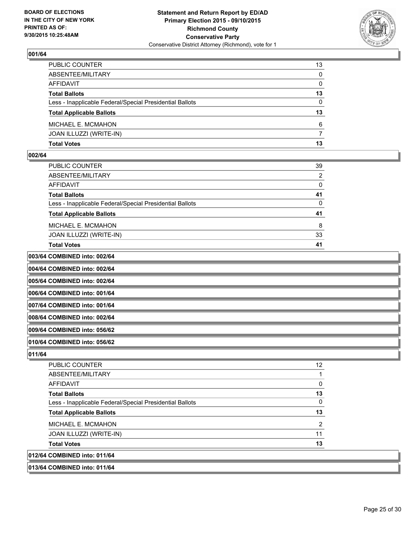

| PUBLIC COUNTER                                           | 13           |
|----------------------------------------------------------|--------------|
| ABSENTEE/MILITARY                                        | $\mathbf{0}$ |
| AFFIDAVIT                                                | $\mathbf{0}$ |
| <b>Total Ballots</b>                                     | 13           |
| Less - Inapplicable Federal/Special Presidential Ballots | $\Omega$     |
| <b>Total Applicable Ballots</b>                          | 13           |
| MICHAEL E. MCMAHON                                       | 6            |
| JOAN ILLUZZI (WRITE-IN)                                  | 7            |
| Total Votes                                              | 13           |

#### **002/64**

| PUBLIC COUNTER                                           | 39             |
|----------------------------------------------------------|----------------|
| ABSENTEE/MILITARY                                        | $\overline{2}$ |
| AFFIDAVIT                                                | 0              |
| Total Ballots                                            | 41             |
| Less - Inapplicable Federal/Special Presidential Ballots | 0              |
| <b>Total Applicable Ballots</b>                          | 41             |
| MICHAEL E. MCMAHON                                       | 8              |
| JOAN ILLUZZI (WRITE-IN)                                  | 33             |
| Total Votes                                              | 41             |

**003/64 COMBINED into: 002/64**

**004/64 COMBINED into: 002/64**

**005/64 COMBINED into: 002/64**

**006/64 COMBINED into: 001/64**

**007/64 COMBINED into: 001/64**

**008/64 COMBINED into: 002/64**

**009/64 COMBINED into: 056/62**

**010/64 COMBINED into: 056/62**

| <b>PUBLIC COUNTER</b>                                    | 12 |
|----------------------------------------------------------|----|
| ABSENTEE/MILITARY                                        |    |
| AFFIDAVIT                                                | 0  |
| <b>Total Ballots</b>                                     | 13 |
| Less - Inapplicable Federal/Special Presidential Ballots | 0  |
| <b>Total Applicable Ballots</b>                          | 13 |
| MICHAEL E. MCMAHON                                       | 2  |
| JOAN ILLUZZI (WRITE-IN)                                  | 11 |
| <b>Total Votes</b>                                       | 13 |
| 012/64 COMBINED into: 011/64                             |    |
| 013/64 COMBINED into: 011/64                             |    |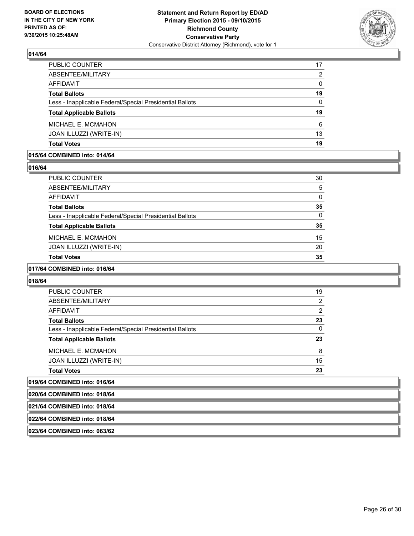

| PUBLIC COUNTER                                           | 17       |
|----------------------------------------------------------|----------|
| ABSENTEE/MILITARY                                        | 2        |
| AFFIDAVIT                                                | $\Omega$ |
| Total Ballots                                            | 19       |
| Less - Inapplicable Federal/Special Presidential Ballots | $\Omega$ |
| <b>Total Applicable Ballots</b>                          | 19       |
| MICHAEL E. MCMAHON                                       | 6        |
| JOAN ILLUZZI (WRITE-IN)                                  | 13       |
| Total Votes                                              | 19       |
|                                                          |          |

#### **015/64 COMBINED into: 014/64**

**016/64** 

| PUBLIC COUNTER                                           | 30 |
|----------------------------------------------------------|----|
| ABSENTEE/MILITARY                                        | 5  |
| AFFIDAVIT                                                | 0  |
| <b>Total Ballots</b>                                     | 35 |
| Less - Inapplicable Federal/Special Presidential Ballots | 0  |
| <b>Total Applicable Ballots</b>                          | 35 |
| MICHAEL E. MCMAHON                                       | 15 |
| JOAN ILLUZZI (WRITE-IN)                                  | 20 |
| <b>Total Votes</b>                                       | 35 |

#### **017/64 COMBINED into: 016/64**

#### **018/64**

| 019/64 COMBINED into: 016/64                             |    |
|----------------------------------------------------------|----|
| <b>Total Votes</b>                                       | 23 |
| JOAN ILLUZZI (WRITE-IN)                                  | 15 |
| MICHAEL E. MCMAHON                                       | 8  |
| <b>Total Applicable Ballots</b>                          | 23 |
| Less - Inapplicable Federal/Special Presidential Ballots | 0  |
| <b>Total Ballots</b>                                     | 23 |
| AFFIDAVIT                                                | 2  |
| ABSENTEE/MILITARY                                        | 2  |
| PUBLIC COUNTER                                           | 19 |

**020/64 COMBINED into: 018/64**

**021/64 COMBINED into: 018/64**

**022/64 COMBINED into: 018/64**

**023/64 COMBINED into: 063/62**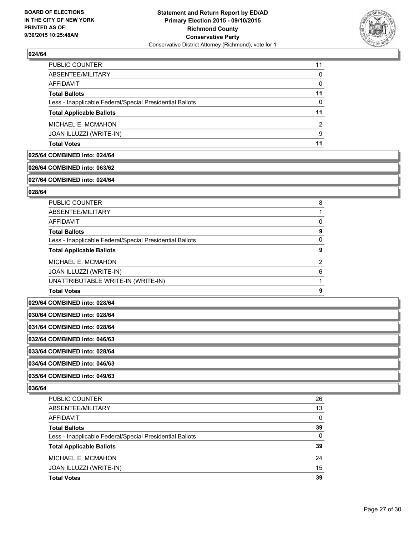

| <b>Total Votes</b>                                       | 11       |
|----------------------------------------------------------|----------|
| <b>JOAN ILLUZZI (WRITE-IN)</b>                           | 9        |
| MICHAEL E. MCMAHON                                       | 2        |
| <b>Total Applicable Ballots</b>                          | 11       |
| Less - Inapplicable Federal/Special Presidential Ballots | $\Omega$ |
| <b>Total Ballots</b>                                     | 11       |
| AFFIDAVIT                                                | $\Omega$ |
| ABSENTEE/MILITARY                                        | 0        |
| PUBLIC COUNTER                                           | 11       |

#### **025/64 COMBINED into: 024/64**

#### **026/64 COMBINED into: 063/62**

#### **027/64 COMBINED into: 024/64**

#### **028/64**

| <b>Total Votes</b>                                       | 9 |
|----------------------------------------------------------|---|
| UNATTRIBUTABLE WRITE-IN (WRITE-IN)                       |   |
| <b>JOAN ILLUZZI (WRITE-IN)</b>                           | 6 |
| MICHAEL E. MCMAHON                                       | 2 |
| <b>Total Applicable Ballots</b>                          | 9 |
| Less - Inapplicable Federal/Special Presidential Ballots | 0 |
| <b>Total Ballots</b>                                     | 9 |
| AFFIDAVIT                                                | 0 |
| ABSENTEE/MILITARY                                        |   |
| PUBLIC COUNTER                                           | 8 |
|                                                          |   |

#### **029/64 COMBINED into: 028/64**

| 030/64 COMBINED into: 028/64 |
|------------------------------|
|                              |
|                              |

**031/64 COMBINED into: 028/64**

**032/64 COMBINED into: 046/63**

#### **033/64 COMBINED into: 028/64**

**034/64 COMBINED into: 046/63**

### **035/64 COMBINED into: 049/63**

| PUBLIC COUNTER                                           | 26 |
|----------------------------------------------------------|----|
| ABSENTEE/MILITARY                                        | 13 |
| AFFIDAVIT                                                | 0  |
| <b>Total Ballots</b>                                     | 39 |
| Less - Inapplicable Federal/Special Presidential Ballots | 0  |
| <b>Total Applicable Ballots</b>                          | 39 |
| MICHAEL E. MCMAHON                                       | 24 |
| JOAN ILLUZZI (WRITE-IN)                                  | 15 |
| <b>Total Votes</b>                                       | 39 |
|                                                          |    |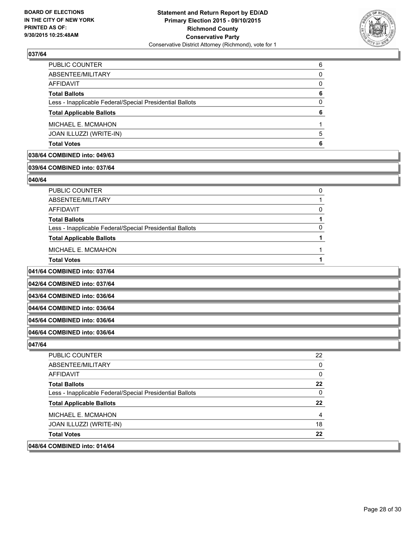

| 6 |
|---|
| 0 |
| 0 |
| 6 |
| 0 |
| 6 |
|   |
| 5 |
| 6 |
|   |

**038/64 COMBINED into: 049/63**

#### **039/64 COMBINED into: 037/64**

**040/64** 

| <b>PUBLIC COUNTER</b>                                    |  |
|----------------------------------------------------------|--|
| ABSENTEE/MILITARY                                        |  |
| AFFIDAVIT                                                |  |
| <b>Total Ballots</b>                                     |  |
| Less - Inapplicable Federal/Special Presidential Ballots |  |
| <b>Total Applicable Ballots</b>                          |  |
| MICHAEL E. MCMAHON                                       |  |
| <b>Total Votes</b>                                       |  |
| 041/64 COMBINED into: 037/64                             |  |

**042/64 COMBINED into: 037/64**

**043/64 COMBINED into: 036/64**

**044/64 COMBINED into: 036/64**

### **045/64 COMBINED into: 036/64**

**046/64 COMBINED into: 036/64**

### **047/64**

| <b>PUBLIC COUNTER</b>                                    | 22 |
|----------------------------------------------------------|----|
| ABSENTEE/MILITARY                                        | 0  |
| AFFIDAVIT                                                | 0  |
| <b>Total Ballots</b>                                     | 22 |
| Less - Inapplicable Federal/Special Presidential Ballots | 0  |
| <b>Total Applicable Ballots</b>                          | 22 |
| MICHAEL E. MCMAHON                                       | 4  |
| <b>JOAN ILLUZZI (WRITE-IN)</b>                           | 18 |
|                                                          |    |
| <b>Total Votes</b>                                       | 22 |

**048/64 COMBINED into: 014/64**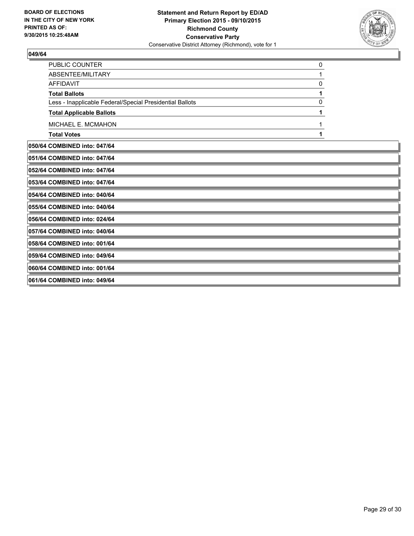

| PUBLIC COUNTER                                           | 0 |
|----------------------------------------------------------|---|
| ABSENTEE/MILITARY                                        |   |
| <b>AFFIDAVIT</b>                                         | 0 |
| <b>Total Ballots</b>                                     | 1 |
| Less - Inapplicable Federal/Special Presidential Ballots | 0 |
| <b>Total Applicable Ballots</b>                          | 1 |
| MICHAEL E. MCMAHON                                       |   |
| <b>Total Votes</b>                                       |   |
| 050/64 COMBINED into: 047/64                             |   |
| 051/64 COMBINED into: 047/64                             |   |
| 052/64 COMBINED into: 047/64                             |   |
| 053/64 COMBINED into: 047/64                             |   |
| 054/64 COMBINED into: 040/64                             |   |
| 055/64 COMBINED into: 040/64                             |   |
| 056/64 COMBINED into: 024/64                             |   |
| 057/64 COMBINED into: 040/64                             |   |
| 058/64 COMBINED into: 001/64                             |   |
| 059/64 COMBINED into: 049/64                             |   |
| 060/64 COMBINED into: 001/64                             |   |
| 061/64 COMBINED into: 049/64                             |   |